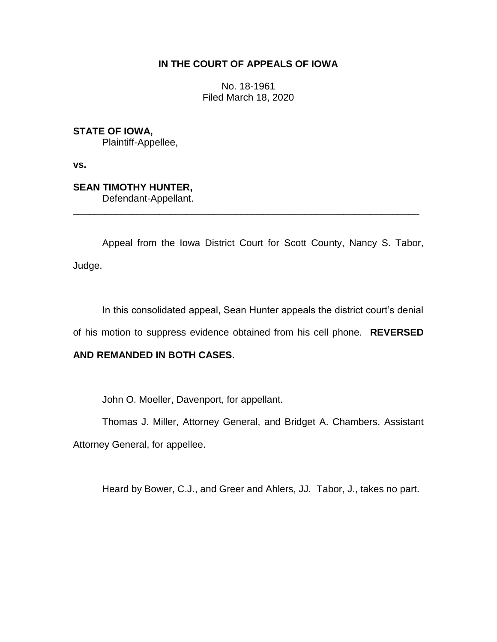# **IN THE COURT OF APPEALS OF IOWA**

No. 18-1961 Filed March 18, 2020

**STATE OF IOWA,**

Plaintiff-Appellee,

**vs.**

# **SEAN TIMOTHY HUNTER,**

Defendant-Appellant.

Appeal from the Iowa District Court for Scott County, Nancy S. Tabor, Judge.

\_\_\_\_\_\_\_\_\_\_\_\_\_\_\_\_\_\_\_\_\_\_\_\_\_\_\_\_\_\_\_\_\_\_\_\_\_\_\_\_\_\_\_\_\_\_\_\_\_\_\_\_\_\_\_\_\_\_\_\_\_\_\_\_

In this consolidated appeal, Sean Hunter appeals the district court's denial

of his motion to suppress evidence obtained from his cell phone. **REVERSED** 

# **AND REMANDED IN BOTH CASES.**

John O. Moeller, Davenport, for appellant.

Thomas J. Miller, Attorney General, and Bridget A. Chambers, Assistant Attorney General, for appellee.

Heard by Bower, C.J., and Greer and Ahlers, JJ. Tabor, J., takes no part.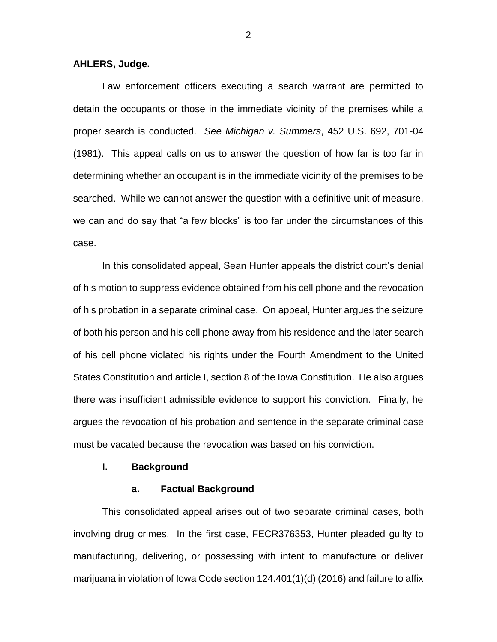### **AHLERS, Judge.**

Law enforcement officers executing a search warrant are permitted to detain the occupants or those in the immediate vicinity of the premises while a proper search is conducted. *See Michigan v. Summers*, 452 U.S. 692, 701-04 (1981). This appeal calls on us to answer the question of how far is too far in determining whether an occupant is in the immediate vicinity of the premises to be searched. While we cannot answer the question with a definitive unit of measure, we can and do say that "a few blocks" is too far under the circumstances of this case.

In this consolidated appeal, Sean Hunter appeals the district court's denial of his motion to suppress evidence obtained from his cell phone and the revocation of his probation in a separate criminal case. On appeal, Hunter argues the seizure of both his person and his cell phone away from his residence and the later search of his cell phone violated his rights under the Fourth Amendment to the United States Constitution and article I, section 8 of the Iowa Constitution. He also argues there was insufficient admissible evidence to support his conviction. Finally, he argues the revocation of his probation and sentence in the separate criminal case must be vacated because the revocation was based on his conviction.

## **I. Background**

#### **a. Factual Background**

This consolidated appeal arises out of two separate criminal cases, both involving drug crimes. In the first case, FECR376353, Hunter pleaded guilty to manufacturing, delivering, or possessing with intent to manufacture or deliver marijuana in violation of Iowa Code section 124.401(1)(d) (2016) and failure to affix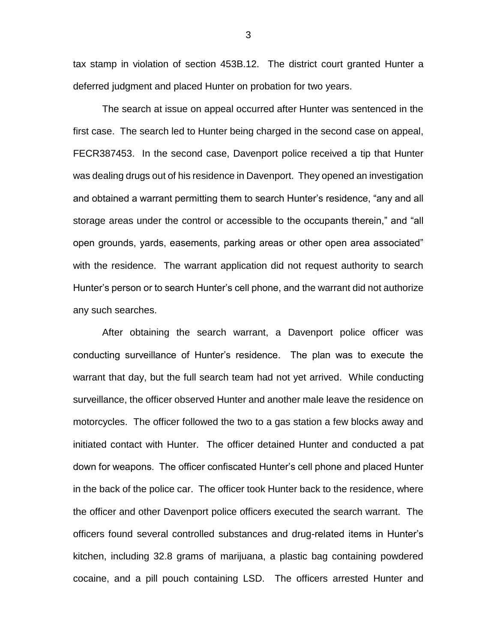tax stamp in violation of section 453B.12. The district court granted Hunter a deferred judgment and placed Hunter on probation for two years.

The search at issue on appeal occurred after Hunter was sentenced in the first case. The search led to Hunter being charged in the second case on appeal, FECR387453. In the second case, Davenport police received a tip that Hunter was dealing drugs out of his residence in Davenport. They opened an investigation and obtained a warrant permitting them to search Hunter's residence, "any and all storage areas under the control or accessible to the occupants therein," and "all open grounds, yards, easements, parking areas or other open area associated" with the residence. The warrant application did not request authority to search Hunter's person or to search Hunter's cell phone, and the warrant did not authorize any such searches.

After obtaining the search warrant, a Davenport police officer was conducting surveillance of Hunter's residence. The plan was to execute the warrant that day, but the full search team had not yet arrived. While conducting surveillance, the officer observed Hunter and another male leave the residence on motorcycles. The officer followed the two to a gas station a few blocks away and initiated contact with Hunter. The officer detained Hunter and conducted a pat down for weapons. The officer confiscated Hunter's cell phone and placed Hunter in the back of the police car. The officer took Hunter back to the residence, where the officer and other Davenport police officers executed the search warrant. The officers found several controlled substances and drug-related items in Hunter's kitchen, including 32.8 grams of marijuana, a plastic bag containing powdered cocaine, and a pill pouch containing LSD. The officers arrested Hunter and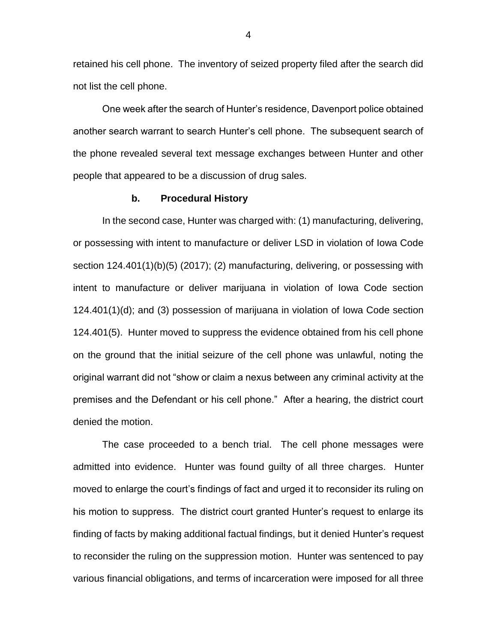retained his cell phone. The inventory of seized property filed after the search did not list the cell phone.

One week after the search of Hunter's residence, Davenport police obtained another search warrant to search Hunter's cell phone. The subsequent search of the phone revealed several text message exchanges between Hunter and other people that appeared to be a discussion of drug sales.

#### **b. Procedural History**

In the second case, Hunter was charged with: (1) manufacturing, delivering, or possessing with intent to manufacture or deliver LSD in violation of Iowa Code section 124.401(1)(b)(5) (2017); (2) manufacturing, delivering, or possessing with intent to manufacture or deliver marijuana in violation of Iowa Code section 124.401(1)(d); and (3) possession of marijuana in violation of Iowa Code section 124.401(5). Hunter moved to suppress the evidence obtained from his cell phone on the ground that the initial seizure of the cell phone was unlawful, noting the original warrant did not "show or claim a nexus between any criminal activity at the premises and the Defendant or his cell phone." After a hearing, the district court denied the motion.

The case proceeded to a bench trial. The cell phone messages were admitted into evidence. Hunter was found guilty of all three charges. Hunter moved to enlarge the court's findings of fact and urged it to reconsider its ruling on his motion to suppress. The district court granted Hunter's request to enlarge its finding of facts by making additional factual findings, but it denied Hunter's request to reconsider the ruling on the suppression motion. Hunter was sentenced to pay various financial obligations, and terms of incarceration were imposed for all three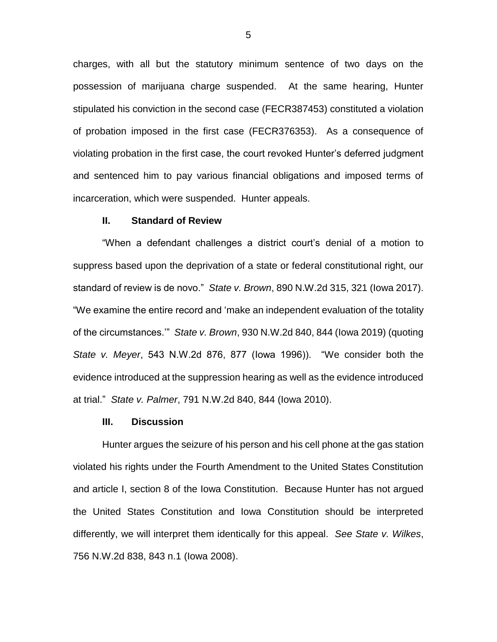charges, with all but the statutory minimum sentence of two days on the possession of marijuana charge suspended. At the same hearing, Hunter stipulated his conviction in the second case (FECR387453) constituted a violation of probation imposed in the first case (FECR376353). As a consequence of violating probation in the first case, the court revoked Hunter's deferred judgment and sentenced him to pay various financial obligations and imposed terms of incarceration, which were suspended. Hunter appeals.

#### **II. Standard of Review**

"When a defendant challenges a district court's denial of a motion to suppress based upon the deprivation of a state or federal constitutional right, our standard of review is de novo." *State v. Brown*, 890 N.W.2d 315, 321 (Iowa 2017). "We examine the entire record and 'make an independent evaluation of the totality of the circumstances.'" *State v. Brown*, 930 N.W.2d 840, 844 (Iowa 2019) (quoting *State v. Meyer*, 543 N.W.2d 876, 877 (Iowa 1996)). "We consider both the evidence introduced at the suppression hearing as well as the evidence introduced at trial." *State v. Palmer*, 791 N.W.2d 840, 844 (Iowa 2010).

#### **III. Discussion**

Hunter argues the seizure of his person and his cell phone at the gas station violated his rights under the Fourth Amendment to the United States Constitution and article I, section 8 of the Iowa Constitution. Because Hunter has not argued the United States Constitution and Iowa Constitution should be interpreted differently, we will interpret them identically for this appeal. *See State v. Wilkes*, 756 N.W.2d 838, 843 n.1 (Iowa 2008).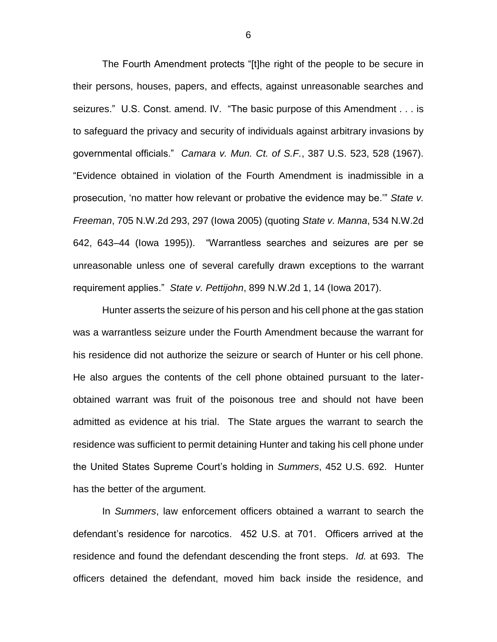The Fourth Amendment protects "[t]he right of the people to be secure in their persons, houses, papers, and effects, against unreasonable searches and seizures." U.S. Const. amend. IV. "The basic purpose of this Amendment . . . is to safeguard the privacy and security of individuals against arbitrary invasions by governmental officials." *Camara v. Mun. Ct. of S.F.*, 387 U.S. 523, 528 (1967). "Evidence obtained in violation of the Fourth Amendment is inadmissible in a prosecution, 'no matter how relevant or probative the evidence may be.'" *State v. Freeman*, 705 N.W.2d 293, 297 (Iowa 2005) (quoting *State v. Manna*, 534 N.W.2d 642, 643–44 (Iowa 1995)). "Warrantless searches and seizures are per se unreasonable unless one of several carefully drawn exceptions to the warrant requirement applies." *State v. Pettijohn*, 899 N.W.2d 1, 14 (Iowa 2017).

Hunter asserts the seizure of his person and his cell phone at the gas station was a warrantless seizure under the Fourth Amendment because the warrant for his residence did not authorize the seizure or search of Hunter or his cell phone. He also argues the contents of the cell phone obtained pursuant to the laterobtained warrant was fruit of the poisonous tree and should not have been admitted as evidence at his trial. The State argues the warrant to search the residence was sufficient to permit detaining Hunter and taking his cell phone under the United States Supreme Court's holding in *Summers*, 452 U.S. 692. Hunter has the better of the argument.

In *Summers*, law enforcement officers obtained a warrant to search the defendant's residence for narcotics. 452 U.S. at 701. Officers arrived at the residence and found the defendant descending the front steps. *Id.* at 693. The officers detained the defendant, moved him back inside the residence, and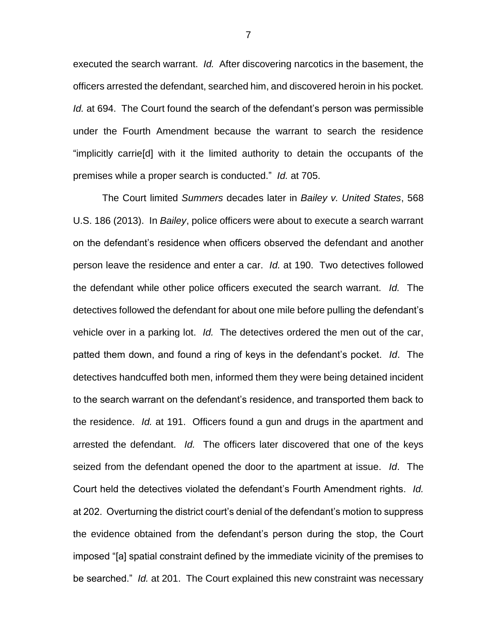executed the search warrant. *Id.* After discovering narcotics in the basement, the officers arrested the defendant, searched him, and discovered heroin in his pocket. *Id.* at 694. The Court found the search of the defendant's person was permissible under the Fourth Amendment because the warrant to search the residence "implicitly carrie[d] with it the limited authority to detain the occupants of the premises while a proper search is conducted." *Id.* at 705.

The Court limited *Summers* decades later in *Bailey v. United States*, 568 U.S. 186 (2013). In *Bailey*, police officers were about to execute a search warrant on the defendant's residence when officers observed the defendant and another person leave the residence and enter a car. *Id.* at 190. Two detectives followed the defendant while other police officers executed the search warrant. *Id.* The detectives followed the defendant for about one mile before pulling the defendant's vehicle over in a parking lot. *Id.* The detectives ordered the men out of the car, patted them down, and found a ring of keys in the defendant's pocket. *Id*. The detectives handcuffed both men, informed them they were being detained incident to the search warrant on the defendant's residence, and transported them back to the residence. *Id.* at 191. Officers found a gun and drugs in the apartment and arrested the defendant. *Id.* The officers later discovered that one of the keys seized from the defendant opened the door to the apartment at issue. *Id*. The Court held the detectives violated the defendant's Fourth Amendment rights. *Id.* at 202. Overturning the district court's denial of the defendant's motion to suppress the evidence obtained from the defendant's person during the stop, the Court imposed "[a] spatial constraint defined by the immediate vicinity of the premises to be searched." *Id.* at 201. The Court explained this new constraint was necessary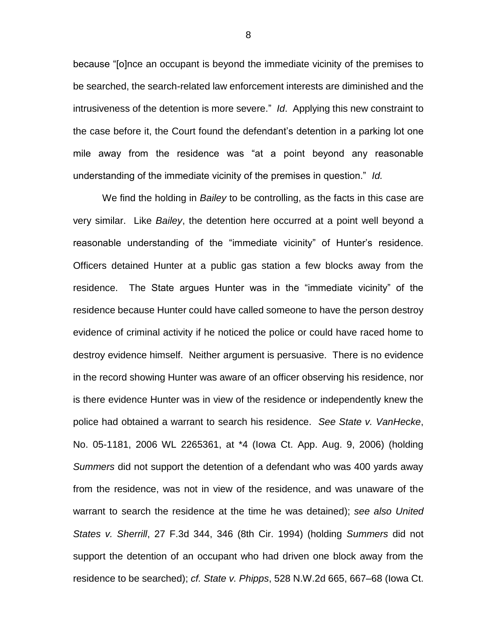because "[o]nce an occupant is beyond the immediate vicinity of the premises to be searched, the search-related law enforcement interests are diminished and the intrusiveness of the detention is more severe." *Id*. Applying this new constraint to the case before it, the Court found the defendant's detention in a parking lot one mile away from the residence was "at a point beyond any reasonable understanding of the immediate vicinity of the premises in question." *Id.*

We find the holding in *Bailey* to be controlling, as the facts in this case are very similar. Like *Bailey*, the detention here occurred at a point well beyond a reasonable understanding of the "immediate vicinity" of Hunter's residence. Officers detained Hunter at a public gas station a few blocks away from the residence. The State argues Hunter was in the "immediate vicinity" of the residence because Hunter could have called someone to have the person destroy evidence of criminal activity if he noticed the police or could have raced home to destroy evidence himself. Neither argument is persuasive. There is no evidence in the record showing Hunter was aware of an officer observing his residence, nor is there evidence Hunter was in view of the residence or independently knew the police had obtained a warrant to search his residence. *See State v. VanHecke*, No. 05-1181, 2006 WL 2265361, at \*4 (Iowa Ct. App. Aug. 9, 2006) (holding *Summers* did not support the detention of a defendant who was 400 yards away from the residence, was not in view of the residence, and was unaware of the warrant to search the residence at the time he was detained); *see also United States v. Sherrill*, 27 F.3d 344, 346 (8th Cir. 1994) (holding *Summers* did not support the detention of an occupant who had driven one block away from the residence to be searched); *cf. State v. Phipps*, 528 N.W.2d 665, 667–68 (Iowa Ct.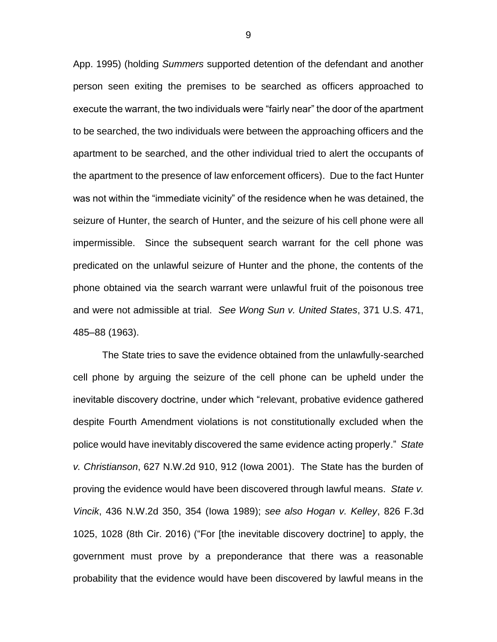App. 1995) (holding *Summers* supported detention of the defendant and another person seen exiting the premises to be searched as officers approached to execute the warrant, the two individuals were "fairly near" the door of the apartment to be searched, the two individuals were between the approaching officers and the apartment to be searched, and the other individual tried to alert the occupants of the apartment to the presence of law enforcement officers). Due to the fact Hunter was not within the "immediate vicinity" of the residence when he was detained, the seizure of Hunter, the search of Hunter, and the seizure of his cell phone were all impermissible. Since the subsequent search warrant for the cell phone was predicated on the unlawful seizure of Hunter and the phone, the contents of the phone obtained via the search warrant were unlawful fruit of the poisonous tree and were not admissible at trial. *See Wong Sun v. United States*, 371 U.S. 471, 485–88 (1963).

The State tries to save the evidence obtained from the unlawfully-searched cell phone by arguing the seizure of the cell phone can be upheld under the inevitable discovery doctrine, under which "relevant, probative evidence gathered despite Fourth Amendment violations is not constitutionally excluded when the police would have inevitably discovered the same evidence acting properly." *State v. Christianson*, 627 N.W.2d 910, 912 (Iowa 2001). The State has the burden of proving the evidence would have been discovered through lawful means. *State v. Vincik*, 436 N.W.2d 350, 354 (Iowa 1989); *see also Hogan v. Kelley*, 826 F.3d 1025, 1028 (8th Cir. 2016) ("For [the inevitable discovery doctrine] to apply, the government must prove by a preponderance that there was a reasonable probability that the evidence would have been discovered by lawful means in the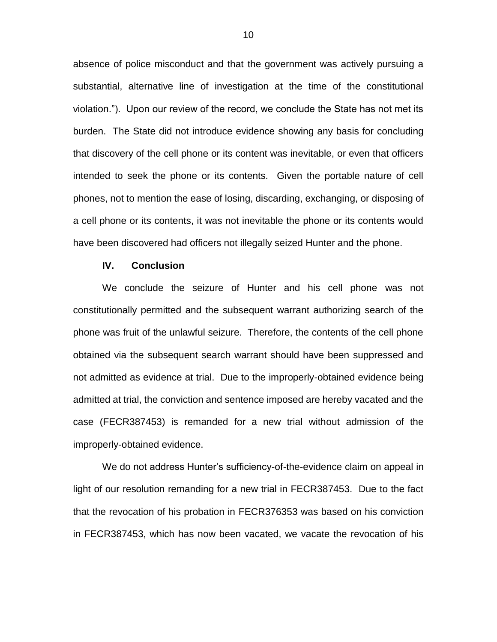absence of police misconduct and that the government was actively pursuing a substantial, alternative line of investigation at the time of the constitutional violation."). Upon our review of the record, we conclude the State has not met its burden. The State did not introduce evidence showing any basis for concluding that discovery of the cell phone or its content was inevitable, or even that officers intended to seek the phone or its contents. Given the portable nature of cell phones, not to mention the ease of losing, discarding, exchanging, or disposing of a cell phone or its contents, it was not inevitable the phone or its contents would have been discovered had officers not illegally seized Hunter and the phone.

## **IV. Conclusion**

We conclude the seizure of Hunter and his cell phone was not constitutionally permitted and the subsequent warrant authorizing search of the phone was fruit of the unlawful seizure. Therefore, the contents of the cell phone obtained via the subsequent search warrant should have been suppressed and not admitted as evidence at trial. Due to the improperly-obtained evidence being admitted at trial, the conviction and sentence imposed are hereby vacated and the case (FECR387453) is remanded for a new trial without admission of the improperly-obtained evidence.

We do not address Hunter's sufficiency-of-the-evidence claim on appeal in light of our resolution remanding for a new trial in FECR387453. Due to the fact that the revocation of his probation in FECR376353 was based on his conviction in FECR387453, which has now been vacated, we vacate the revocation of his